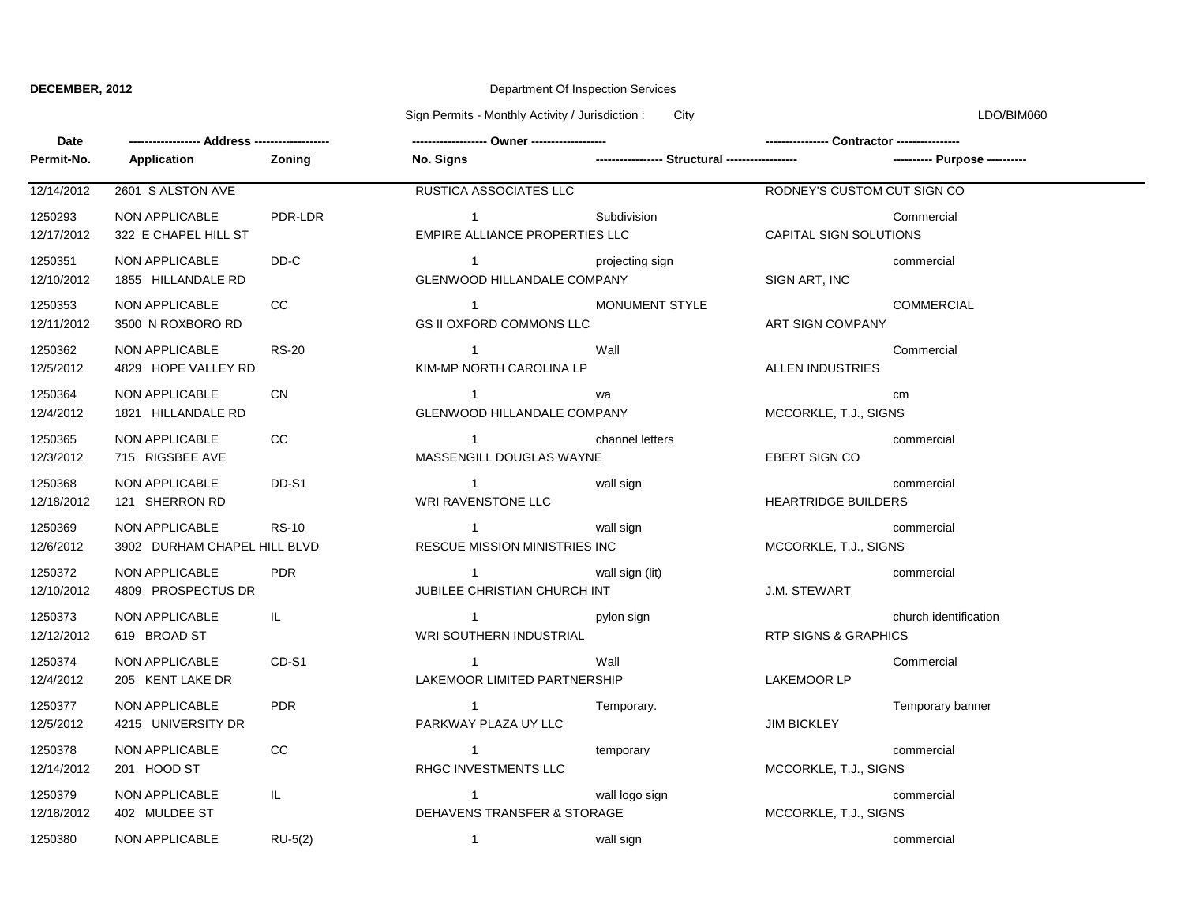## **DECEMBER, 2012** Department Of Inspection Services

Sign Permits - Monthly Activity / Jurisdiction : City Communication : City LDO/BIM060

| Date                  |                                                |              |                                                      |                                                 |                                 |                       |
|-----------------------|------------------------------------------------|--------------|------------------------------------------------------|-------------------------------------------------|---------------------------------|-----------------------|
| Permit-No.            | Application                                    | Zoning       | No. Signs                                            | ----------------- Structural ------------------ |                                 |                       |
| 12/14/2012            | 2601 S ALSTON AVE                              |              | RUSTICA ASSOCIATES LLC                               |                                                 | RODNEY'S CUSTOM CUT SIGN CO     |                       |
| 1250293<br>12/17/2012 | NON APPLICABLE<br>322 E CHAPEL HILL ST         | PDR-LDR      | $\mathbf{1}$<br>EMPIRE ALLIANCE PROPERTIES LLC       | Subdivision                                     | <b>CAPITAL SIGN SOLUTIONS</b>   | Commercial            |
| 1250351<br>12/10/2012 | NON APPLICABLE<br>1855 HILLANDALE RD           | DD-C         | $\overline{1}$<br><b>GLENWOOD HILLANDALE COMPANY</b> | projecting sign                                 | SIGN ART, INC                   | commercial            |
| 1250353<br>12/11/2012 | NON APPLICABLE<br>3500 N ROXBORO RD            | CC           | $\mathbf{1}$<br><b>GS II OXFORD COMMONS LLC</b>      | <b>MONUMENT STYLE</b>                           | ART SIGN COMPANY                | <b>COMMERCIAL</b>     |
| 1250362<br>12/5/2012  | NON APPLICABLE<br>4829 HOPE VALLEY RD          | <b>RS-20</b> | $\overline{1}$<br>KIM-MP NORTH CAROLINA LP           | Wall                                            | <b>ALLEN INDUSTRIES</b>         | Commercial            |
| 1250364<br>12/4/2012  | NON APPLICABLE<br>1821 HILLANDALE RD           | <b>CN</b>    | $\overline{1}$<br><b>GLENWOOD HILLANDALE COMPANY</b> | wa                                              | MCCORKLE, T.J., SIGNS           | cm                    |
| 1250365<br>12/3/2012  | NON APPLICABLE<br>715 RIGSBEE AVE              | cc           | $\overline{1}$<br>MASSENGILL DOUGLAS WAYNE           | channel letters                                 | EBERT SIGN CO                   | commercial            |
| 1250368<br>12/18/2012 | NON APPLICABLE<br>121 SHERRON RD               | DD-S1        | $\overline{1}$<br>WRI RAVENSTONE LLC                 | wall sign                                       | <b>HEARTRIDGE BUILDERS</b>      | commercial            |
| 1250369<br>12/6/2012  | NON APPLICABLE<br>3902 DURHAM CHAPEL HILL BLVD | <b>RS-10</b> | $\mathbf{1}$<br>RESCUE MISSION MINISTRIES INC        | wall sign                                       | MCCORKLE, T.J., SIGNS           | commercial            |
| 1250372<br>12/10/2012 | NON APPLICABLE<br>4809 PROSPECTUS DR           | <b>PDR</b>   | $\mathbf 1$<br>JUBILEE CHRISTIAN CHURCH INT          | wall sign (lit)                                 | <b>J.M. STEWART</b>             | commercial            |
| 1250373<br>12/12/2012 | NON APPLICABLE<br>619 BROAD ST                 | IL.          | $\overline{1}$<br>WRI SOUTHERN INDUSTRIAL            | pylon sign                                      | <b>RTP SIGNS &amp; GRAPHICS</b> | church identification |
| 1250374<br>12/4/2012  | NON APPLICABLE<br>205 KENT LAKE DR             | CD-S1        | $\overline{1}$<br>LAKEMOOR LIMITED PARTNERSHIP       | Wall                                            | LAKEMOOR LP                     | Commercial            |
| 1250377<br>12/5/2012  | NON APPLICABLE<br>4215 UNIVERSITY DR           | <b>PDR</b>   | $\sim$ 1<br>PARKWAY PLAZA UY LLC                     | Temporary.                                      | <b>JIM BICKLEY</b>              | Temporary banner      |
| 1250378<br>12/14/2012 | NON APPLICABLE<br>201 HOOD ST                  | cc           | $\overline{1}$<br>RHGC INVESTMENTS LLC               | temporary                                       | MCCORKLE, T.J., SIGNS           | commercial            |
| 1250379<br>12/18/2012 | NON APPLICABLE<br>402 MULDEE ST                | IL.          | $\mathbf{1}$<br>DEHAVENS TRANSFER & STORAGE          | wall logo sign                                  | MCCORKLE, T.J., SIGNS           | commercial            |
| 1250380               | NON APPLICABLE                                 | $RU-5(2)$    | $\mathbf{1}$                                         | wall sign                                       |                                 | commercial            |